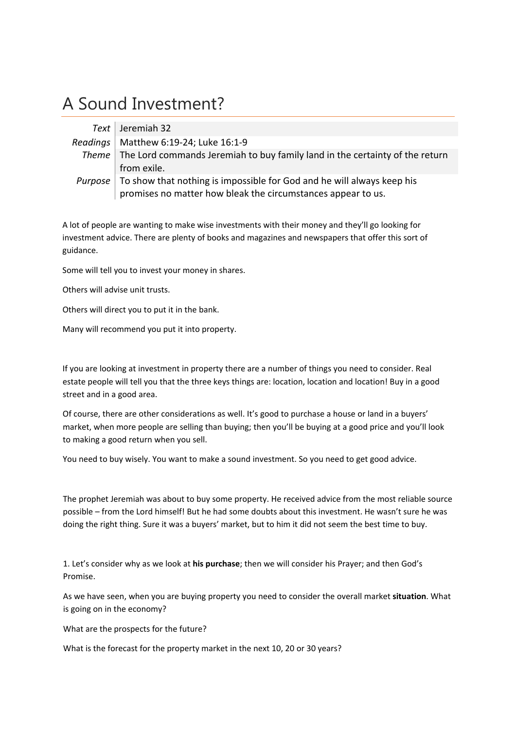## A Sound Investment?

| Text   Jeremiah 32                                                                            |
|-----------------------------------------------------------------------------------------------|
| Readings   Matthew 6:19-24; Luke 16:1-9                                                       |
| Theme $\vert$ The Lord commands Jeremiah to buy family land in the certainty of the return    |
| from exile.                                                                                   |
| <i>Purpose</i> $\vert$ To show that nothing is impossible for God and he will always keep his |
| promises no matter how bleak the circumstances appear to us.                                  |

A lot of people are wanting to make wise investments with their money and they'll go looking for investment advice. There are plenty of books and magazines and newspapers that offer this sort of guidance.

Some will tell you to invest your money in shares.

Others will advise unit trusts.

Others will direct you to put it in the bank.

Many will recommend you put it into property.

If you are looking at investment in property there are a number of things you need to consider. Real estate people will tell you that the three keys things are: location, location and location! Buy in a good street and in a good area.

Of course, there are other considerations as well. It's good to purchase a house or land in a buyers' market, when more people are selling than buying; then you'll be buying at a good price and you'll look to making a good return when you sell.

You need to buy wisely. You want to make a sound investment. So you need to get good advice.

The prophet Jeremiah was about to buy some property. He received advice from the most reliable source possible – from the Lord himself! But he had some doubts about this investment. He wasn't sure he was doing the right thing. Sure it was a buyers' market, but to him it did not seem the best time to buy.

1. Let's consider why as we look at **his purchase**; then we will consider his Prayer; and then God's Promise.

As we have seen, when you are buying property you need to consider the overall market **situation**. What is going on in the economy?

What are the prospects for the future?

What is the forecast for the property market in the next 10, 20 or 30 years?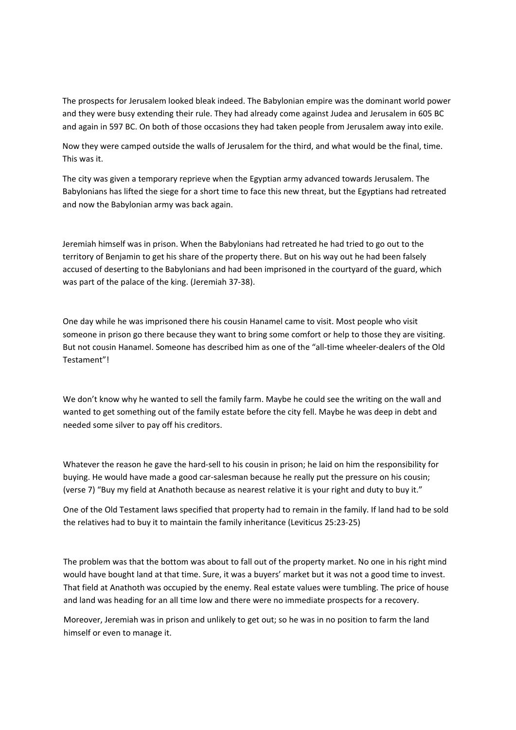The prospects for Jerusalem looked bleak indeed. The Babylonian empire was the dominant world power and they were busy extending their rule. They had already come against Judea and Jerusalem in 605 BC and again in 597 BC. On both of those occasions they had taken people from Jerusalem away into exile.

Now they were camped outside the walls of Jerusalem for the third, and what would be the final, time. This was it.

The city was given a temporary reprieve when the Egyptian army advanced towards Jerusalem. The Babylonians has lifted the siege for a short time to face this new threat, but the Egyptians had retreated and now the Babylonian army was back again.

Jeremiah himself was in prison. When the Babylonians had retreated he had tried to go out to the territory of Benjamin to get his share of the property there. But on his way out he had been falsely accused of deserting to the Babylonians and had been imprisoned in the courtyard of the guard, which was part of the palace of the king. (Jeremiah 37‐38).

One day while he was imprisoned there his cousin Hanamel came to visit. Most people who visit someone in prison go there because they want to bring some comfort or help to those they are visiting. But not cousin Hanamel. Someone has described him as one of the "all‐time wheeler‐dealers of the Old Testament"!

We don't know why he wanted to sell the family farm. Maybe he could see the writing on the wall and wanted to get something out of the family estate before the city fell. Maybe he was deep in debt and needed some silver to pay off his creditors.

Whatever the reason he gave the hard‐sell to his cousin in prison; he laid on him the responsibility for buying. He would have made a good car‐salesman because he really put the pressure on his cousin; (verse 7) "Buy my field at Anathoth because as nearest relative it is your right and duty to buy it."

One of the Old Testament laws specified that property had to remain in the family. If land had to be sold the relatives had to buy it to maintain the family inheritance (Leviticus 25:23‐25)

The problem was that the bottom was about to fall out of the property market. No one in his right mind would have bought land at that time. Sure, it was a buyers' market but it was not a good time to invest. That field at Anathoth was occupied by the enemy. Real estate values were tumbling. The price of house and land was heading for an all time low and there were no immediate prospects for a recovery.

Moreover, Jeremiah was in prison and unlikely to get out; so he was in no position to farm the land himself or even to manage it.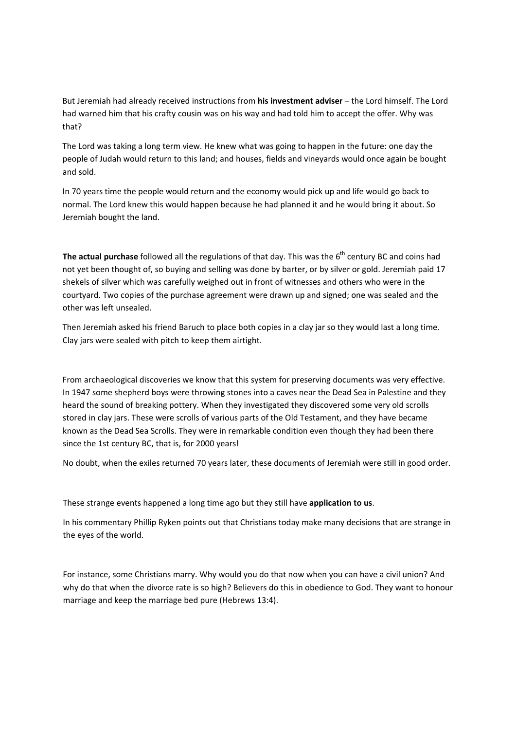But Jeremiah had already received instructions from **his investment adviser** – the Lord himself. The Lord had warned him that his crafty cousin was on his way and had told him to accept the offer. Why was that?

The Lord was taking a long term view. He knew what was going to happen in the future: one day the people of Judah would return to this land; and houses, fields and vineyards would once again be bought and sold.

In 70 years time the people would return and the economy would pick up and life would go back to normal. The Lord knew this would happen because he had planned it and he would bring it about. So Jeremiah bought the land.

**The actual purchase** followed all the regulations of that day. This was the 6<sup>th</sup> century BC and coins had not yet been thought of, so buying and selling was done by barter, or by silver or gold. Jeremiah paid 17 shekels of silver which was carefully weighed out in front of witnesses and others who were in the courtyard. Two copies of the purchase agreement were drawn up and signed; one was sealed and the other was left unsealed.

Then Jeremiah asked his friend Baruch to place both copies in a clay jar so they would last a long time. Clay jars were sealed with pitch to keep them airtight.

From archaeological discoveries we know that this system for preserving documents was very effective. In 1947 some shepherd boys were throwing stones into a caves near the Dead Sea in Palestine and they heard the sound of breaking pottery. When they investigated they discovered some very old scrolls stored in clay jars. These were scrolls of various parts of the Old Testament, and they have became known as the Dead Sea Scrolls. They were in remarkable condition even though they had been there since the 1st century BC, that is, for 2000 years!

No doubt, when the exiles returned 70 years later, these documents of Jeremiah were still in good order.

These strange events happened a long time ago but they still have **application to us**.

In his commentary Phillip Ryken points out that Christians today make many decisions that are strange in the eyes of the world.

For instance, some Christians marry. Why would you do that now when you can have a civil union? And why do that when the divorce rate is so high? Believers do this in obedience to God. They want to honour marriage and keep the marriage bed pure (Hebrews 13:4).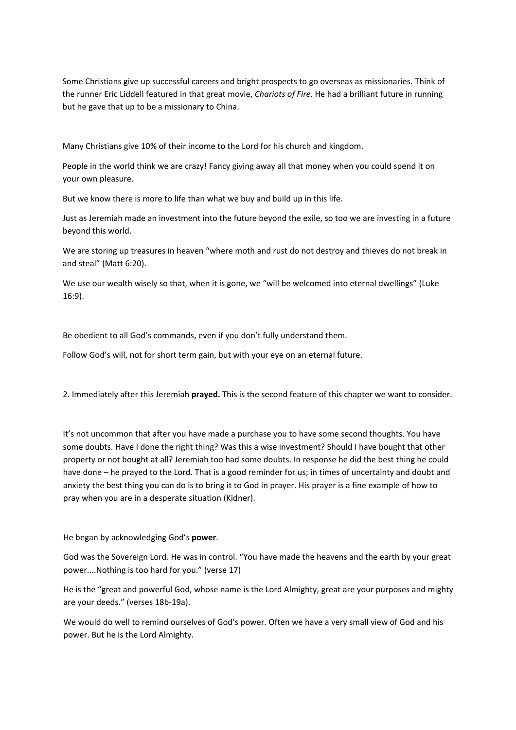Some Christians give up successful careers and bright prospects to go overseas as missionaries. Think of the runner Eric Liddell featured in that great movie, *Chariots of Fire*. He had a brilliant future in running but he gave that up to be a missionary to China.

Many Christians give 10% of their income to the Lord for his church and kingdom.

People in the world think we are crazy! Fancy giving away all that money when you could spend it on your own pleasure.

But we know there is more to life than what we buy and build up in this life.

Just as Jeremiah made an investment into the future beyond the exile, so too we are investing in a future beyond this world.

We are storing up treasures in heaven "where moth and rust do not destroy and thieves do not break in and steal" (Matt 6:20).

We use our wealth wisely so that, when it is gone, we "will be welcomed into eternal dwellings" (Luke 16:9).

Be obedient to all God's commands, even if you don't fully understand them.

Follow God's will, not for short term gain, but with your eye on an eternal future.

2. Immediately after this Jeremiah **prayed.** This is the second feature of this chapter we want to consider.

It's not uncommon that after you have made a purchase you to have some second thoughts. You have some doubts. Have I done the right thing? Was this a wise investment? Should I have bought that other property or not bought at all? Jeremiah too had some doubts. In response he did the best thing he could have done – he prayed to the Lord. That is a good reminder for us; in times of uncertainty and doubt and anxiety the best thing you can do is to bring it to God in prayer. His prayer is a fine example of how to pray when you are in a desperate situation (Kidner).

He began by acknowledging God's **power**.

God was the Sovereign Lord. He was in control. "You have made the heavens and the earth by your great power....Nothing is too hard for you." (verse 17)

He is the "great and powerful God, whose name is the Lord Almighty, great are your purposes and mighty are your deeds." (verses 18b‐19a).

We would do well to remind ourselves of God's power. Often we have a very small view of God and his power. But he is the Lord Almighty.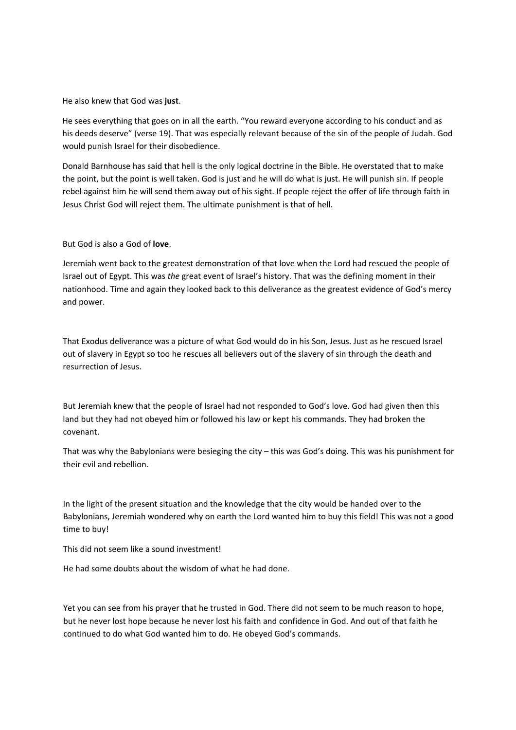He also knew that God was **just**.

He sees everything that goes on in all the earth. "You reward everyone according to his conduct and as his deeds deserve" (verse 19). That was especially relevant because of the sin of the people of Judah. God would punish Israel for their disobedience.

Donald Barnhouse has said that hell is the only logical doctrine in the Bible. He overstated that to make the point, but the point is well taken. God is just and he will do what is just. He will punish sin. If people rebel against him he will send them away out of his sight. If people reject the offer of life through faith in Jesus Christ God will reject them. The ultimate punishment is that of hell.

## But God is also a God of **love**.

Jeremiah went back to the greatest demonstration of that love when the Lord had rescued the people of Israel out of Egypt. This was *the* great event of Israel's history. That was the defining moment in their nationhood. Time and again they looked back to this deliverance as the greatest evidence of God's mercy and power.

That Exodus deliverance was a picture of what God would do in his Son, Jesus. Just as he rescued Israel out of slavery in Egypt so too he rescues all believers out of the slavery of sin through the death and resurrection of Jesus.

But Jeremiah knew that the people of Israel had not responded to God's love. God had given then this land but they had not obeyed him or followed his law or kept his commands. They had broken the covenant.

That was why the Babylonians were besieging the city – this was God's doing. This was his punishment for their evil and rebellion.

In the light of the present situation and the knowledge that the city would be handed over to the Babylonians, Jeremiah wondered why on earth the Lord wanted him to buy this field! This was not a good time to buy!

This did not seem like a sound investment!

He had some doubts about the wisdom of what he had done.

Yet you can see from his prayer that he trusted in God. There did not seem to be much reason to hope, but he never lost hope because he never lost his faith and confidence in God. And out of that faith he continued to do what God wanted him to do. He obeyed God's commands.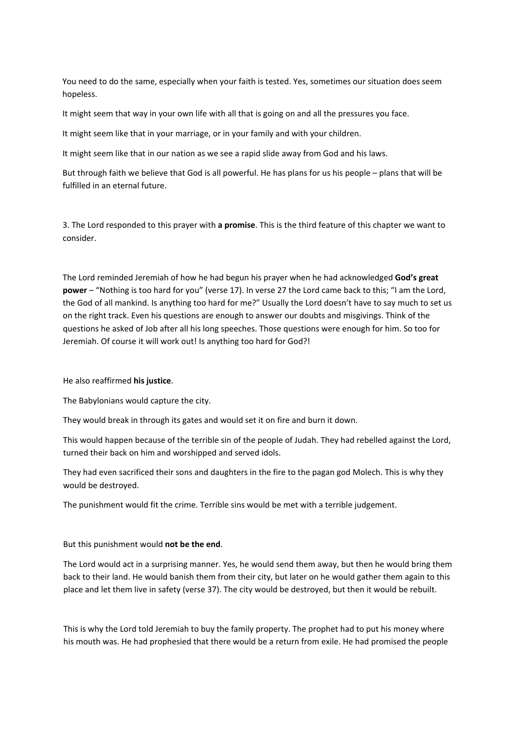You need to do the same, especially when your faith is tested. Yes, sometimes our situation does seem hopeless.

It might seem that way in your own life with all that is going on and all the pressures you face.

It might seem like that in your marriage, or in your family and with your children.

It might seem like that in our nation as we see a rapid slide away from God and his laws.

But through faith we believe that God is all powerful. He has plans for us his people – plans that will be fulfilled in an eternal future.

3. The Lord responded to this prayer with **a promise**. This is the third feature of this chapter we want to consider.

The Lord reminded Jeremiah of how he had begun his prayer when he had acknowledged **God's great power** – "Nothing is too hard for you" (verse 17). In verse 27 the Lord came back to this; "I am the Lord, the God of all mankind. Is anything too hard for me?" Usually the Lord doesn't have to say much to set us on the right track. Even his questions are enough to answer our doubts and misgivings. Think of the questions he asked of Job after all his long speeches. Those questions were enough for him. So too for Jeremiah. Of course it will work out! Is anything too hard for God?!

He also reaffirmed **his justice**.

The Babylonians would capture the city.

They would break in through its gates and would set it on fire and burn it down.

This would happen because of the terrible sin of the people of Judah. They had rebelled against the Lord, turned their back on him and worshipped and served idols.

They had even sacrificed their sons and daughters in the fire to the pagan god Molech. This is why they would be destroyed.

The punishment would fit the crime. Terrible sins would be met with a terrible judgement.

But this punishment would **not be the end**.

The Lord would act in a surprising manner. Yes, he would send them away, but then he would bring them back to their land. He would banish them from their city, but later on he would gather them again to this place and let them live in safety (verse 37). The city would be destroyed, but then it would be rebuilt.

This is why the Lord told Jeremiah to buy the family property. The prophet had to put his money where his mouth was. He had prophesied that there would be a return from exile. He had promised the people